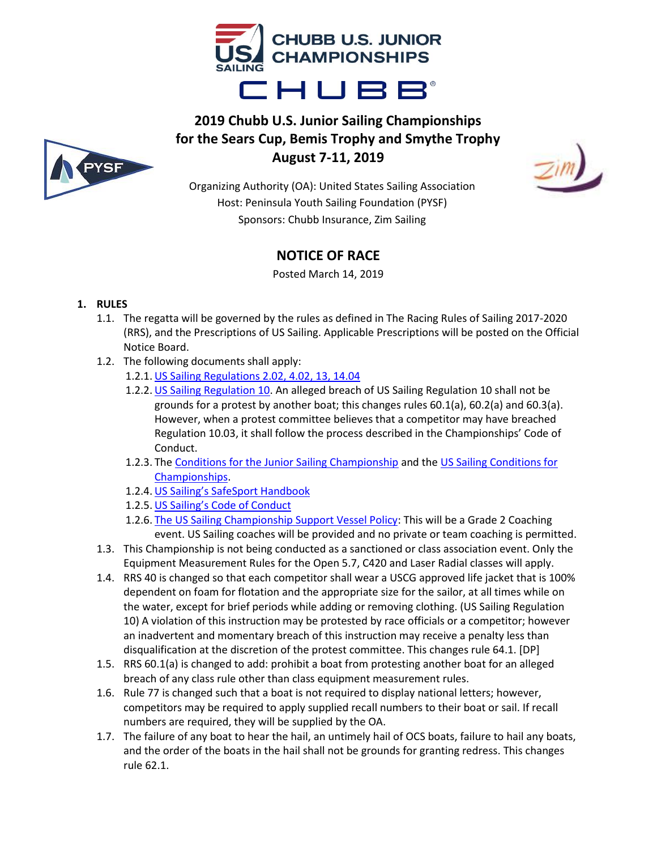



# **2019 Chubb U.S. Junior Sailing Championships for the Sears Cup, Bemis Trophy and Smythe Trophy August 7-11, 2019**



Organizing Authority (OA): United States Sailing Association Host: Peninsula Youth Sailing Foundation (PYSF) Sponsors: Chubb Insurance, Zim Sailing

# **NOTICE OF RACE**

Posted March 14, 2019

# **1. RULES**

- 1.1. The regatta will be governed by the rules as defined in The Racing Rules of Sailing 2017-2020 (RRS), and the Prescriptions of US Sailing. Applicable Prescriptions will be posted on the Official Notice Board.
- 1.2. The following documents shall apply:
	- 1.2.1. [US Sailing Regulations 2.02, 4.02, 13, 14.04](https://www.ussailing.org/wp-content/uploads/2018/02/RegsAmended2017-12-18.pdf)
	- 1.2.2. [US Sailing Regulation 10.](https://www.ussailing.org/competition/resources/hosting-a-us-sailing-championship/regulation-10/) An alleged breach of US Sailing Regulation 10 shall not be grounds for a protest by another boat; this changes rules 60.1(a), 60.2(a) and 60.3(a). However, when a protest committee believes that a competitor may have breached Regulation 10.03, it shall follow the process described in the Championships' Code of Conduct.
	- 1.2.3. The [Conditions for the Junior Sailing Championship a](https://www.ussailing.org/wp-content/uploads/2018/01/2017-Updated-Jr-Champs-Conditions.pdf)nd th[e US Sailing Conditions for](https://www.ussailing.org/wp-content/uploads/2018/01/Championship-Conditions-Revised-022018.pdf)  [Championships.](https://www.ussailing.org/wp-content/uploads/2018/01/Championship-Conditions-Revised-022018.pdf)
	- 1.2.4. [US Sailing's SafeSport Handbook](https://www.ussailing.org/wp-content/uploads/2018/01/SafeSport-Handbook-Updated-January-2018-Final-Draft-.pdf)
	- 1.2.5. [US Sailing's Code of Conduct](https://www.ussailing.org/wp-content/uploads/2018/01/FinalChampionships_CodeofConduct3-21-17-1.pdf)
	- 1.2.6. [The US Sailing Championship Support Vessel Policy:](https://www.ussailing.org/competition/resources/coaching-and-support-boat-policy/) This will be a Grade 2 Coaching event. US Sailing coaches will be provided and no private or team coaching is permitted.
- 1.3. This Championship is not being conducted as a sanctioned or class association event. Only the Equipment Measurement Rules for the Open 5.7, C420 and Laser Radial classes will apply.
- 1.4. RRS 40 is changed so that each competitor shall wear a USCG approved life jacket that is 100% dependent on foam for flotation and the appropriate size for the sailor, at all times while on the water, except for brief periods while adding or removing clothing. (US Sailing Regulation 10) A violation of this instruction may be protested by race officials or a competitor; however an inadvertent and momentary breach of this instruction may receive a penalty less than disqualification at the discretion of the protest committee. This changes rule 64.1. [DP]
- 1.5. RRS 60.1(a) is changed to add: prohibit a boat from protesting another boat for an alleged breach of any class rule other than class equipment measurement rules.
- 1.6. Rule 77 is changed such that a boat is not required to display national letters; however, competitors may be required to apply supplied recall numbers to their boat or sail. If recall numbers are required, they will be supplied by the OA.
- 1.7. The failure of any boat to hear the hail, an untimely hail of OCS boats, failure to hail any boats, and the order of the boats in the hail shall not be grounds for granting redress. This changes rule 62.1.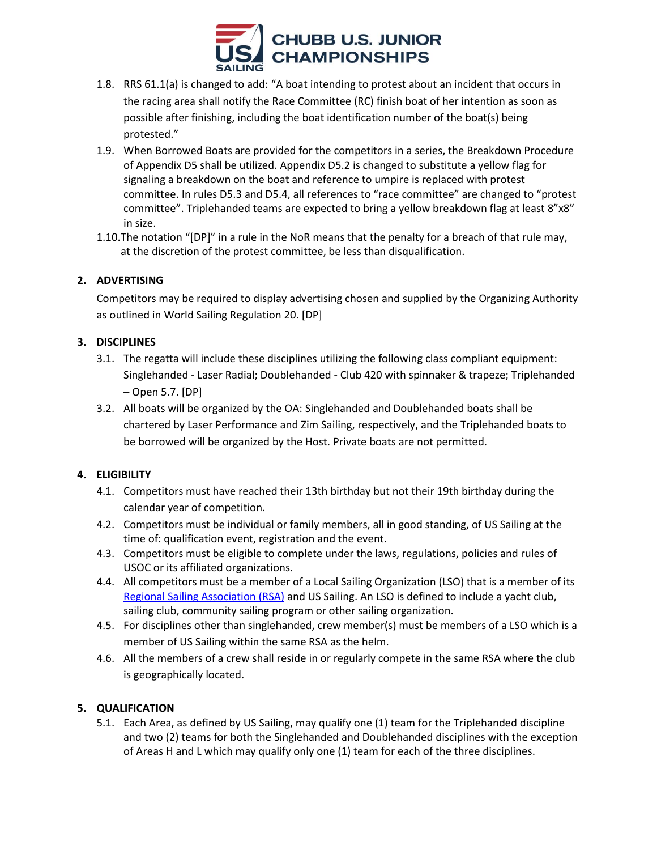

- 1.8. RRS 61.1(a) is changed to add: "A boat intending to protest about an incident that occurs in the racing area shall notify the Race Committee (RC) finish boat of her intention as soon as possible after finishing, including the boat identification number of the boat(s) being protested."
- 1.9. When Borrowed Boats are provided for the competitors in a series, the Breakdown Procedure of Appendix D5 shall be utilized. Appendix D5.2 is changed to substitute a yellow flag for signaling a breakdown on the boat and reference to umpire is replaced with protest committee. In rules D5.3 and D5.4, all references to "race committee" are changed to "protest committee". Triplehanded teams are expected to bring a yellow breakdown flag at least 8"x8" in size.
- 1.10.The notation "[DP]" in a rule in the NoR means that the penalty for a breach of that rule may, at the discretion of the protest committee, be less than disqualification.

# **2. ADVERTISING**

Competitors may be required to display advertising chosen and supplied by the Organizing Authority as outlined in World Sailing Regulation 20. [DP]

## **3. DISCIPLINES**

- 3.1. The regatta will include these disciplines utilizing the following class compliant equipment: Singlehanded - Laser Radial; Doublehanded - Club 420 with spinnaker & trapeze; Triplehanded – Open 5.7. [DP]
- 3.2. All boats will be organized by the OA: Singlehanded and Doublehanded boats shall be chartered by Laser Performance and Zim Sailing, respectively, and the Triplehanded boats to be borrowed will be organized by the Host. Private boats are not permitted.

# **4. ELIGIBILITY**

- 4.1. Competitors must have reached their 13th birthday but not their 19th birthday during the calendar year of competition.
- 4.2. Competitors must be individual or family members, all in good standing, of US Sailing at the time of: qualification event, registration and the event.
- 4.3. Competitors must be eligible to complete under the laws, regulations, policies and rules of USOC or its affiliated organizations.
- 4.4. All competitors must be a member of a Local Sailing Organization (LSO) that is a member of its [Regional Sailing Association \(RSA\)](https://www.ussailing.org/membership/organizations/regional-sailing-associations/) and US Sailing. An LSO is defined to include a yacht club, sailing club, community sailing program or other sailing organization.
- 4.5. For disciplines other than singlehanded, crew member(s) must be members of a LSO which is a member of US Sailing within the same RSA as the helm.
- 4.6. All the members of a crew shall reside in or regularly compete in the same RSA where the club is geographically located.

## **5. QUALIFICATION**

5.1. Each Area, as defined by US Sailing, may qualify one (1) team for the Triplehanded discipline and two (2) teams for both the Singlehanded and Doublehanded disciplines with the exception of Areas H and L which may qualify only one (1) team for each of the three disciplines.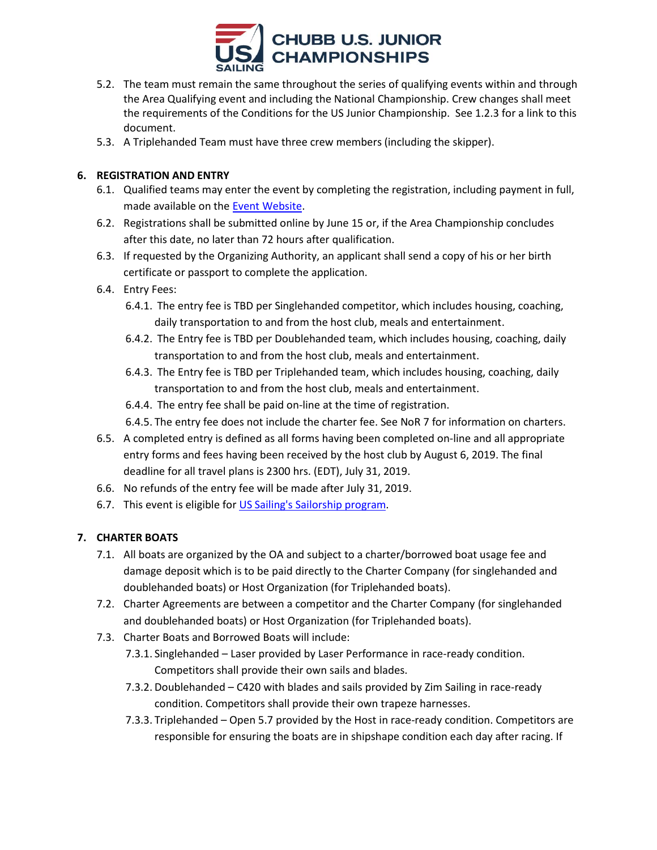

- 5.2. The team must remain the same throughout the series of qualifying events within and through the Area Qualifying event and including the National Championship. Crew changes shall meet the requirements of the Conditions for the US Junior Championship. See 1.2.3 for a link to this document.
- 5.3. A Triplehanded Team must have three crew members (including the skipper).

## **6. REGISTRATION AND ENTRY**

- 6.1. Qualified teams may enter the event by completing the registration, including payment in full, made available on the **Event Website**.
- 6.2. Registrations shall be submitted online by June 15 or, if the Area Championship concludes after this date, no later than 72 hours after qualification.
- 6.3. If requested by the Organizing Authority, an applicant shall send a copy of his or her birth certificate or passport to complete the application.
- 6.4. Entry Fees:
	- 6.4.1. The entry fee is TBD per Singlehanded competitor, which includes housing, coaching, daily transportation to and from the host club, meals and entertainment.
	- 6.4.2. The Entry fee is TBD per Doublehanded team, which includes housing, coaching, daily transportation to and from the host club, meals and entertainment.
	- 6.4.3. The Entry fee is TBD per Triplehanded team, which includes housing, coaching, daily transportation to and from the host club, meals and entertainment.
	- 6.4.4. The entry fee shall be paid on-line at the time of registration.
	- 6.4.5. The entry fee does not include the charter fee. See NoR 7 for information on charters.
- 6.5. A completed entry is defined as all forms having been completed on-line and all appropriate entry forms and fees having been received by the host club by August 6, 2019. The final deadline for all travel plans is 2300 hrs. (EDT), July 31, 2019.
- 6.6. No refunds of the entry fee will be made after July 31, 2019.
- 6.7. This event is eligible for [US Sailing's Sailorship program.](https://www.ussailing.org/competition/youth-sailing/youth-championships/sailorships-financial-aid-for-junior-sailors/)

## **7. CHARTER BOATS**

- 7.1. All boats are organized by the OA and subject to a charter/borrowed boat usage fee and damage deposit which is to be paid directly to the Charter Company (for singlehanded and doublehanded boats) or Host Organization (for Triplehanded boats).
- 7.2. Charter Agreements are between a competitor and the Charter Company (for singlehanded and doublehanded boats) or Host Organization (for Triplehanded boats).
- 7.3. Charter Boats and Borrowed Boats will include:
	- 7.3.1. Singlehanded Laser provided by Laser Performance in race-ready condition. Competitors shall provide their own sails and blades.
	- 7.3.2. Doublehanded C420 with blades and sails provided by Zim Sailing in race-ready condition. Competitors shall provide their own trapeze harnesses.
	- 7.3.3. Triplehanded Open 5.7 provided by the Host in race-ready condition. Competitors are responsible for ensuring the boats are in shipshape condition each day after racing. If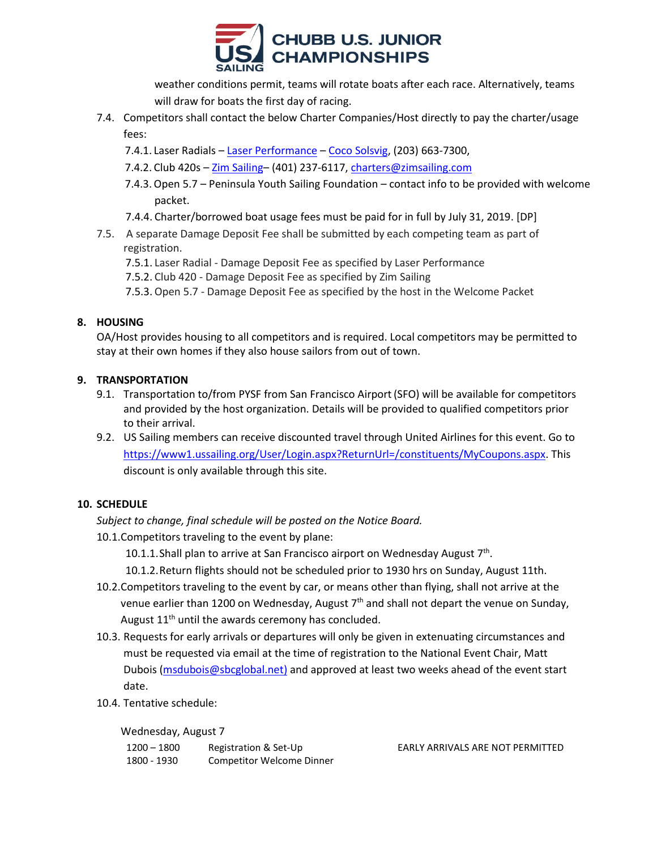

weather conditions permit, teams will rotate boats after each race. Alternatively, teams will draw for boats the first day of racing.

- 7.4. Competitors shall contact the below Charter Companies/Host directly to pay the charter/usage fees:
	- 7.4.1. Laser Radials [Laser Performance](http://www.laserperformance.us/) [Coco Solsvig,](mailto:coco.solsvig@laserperformance.com) (203) 663-7300,
	- 7.4.2. Club 420s [Zim Sailing](http://www.zimsailing.com/charters/) (401) 237-6117, [charters@zimsailing.com](mailto:charters@zimsailing.com)
	- 7.4.3.Open 5.7 Peninsula Youth Sailing Foundation contact info to be provided with welcome packet.
	- 7.4.4. Charter/borrowed boat usage fees must be paid for in full by July 31, 2019. [DP]
- 7.5. A separate Damage Deposit Fee shall be submitted by each competing team as part of registration.
	- 7.5.1. Laser Radial Damage Deposit Fee as specified by Laser Performance
	- 7.5.2. Club 420 Damage Deposit Fee as specified by Zim Sailing
	- 7.5.3.Open 5.7 Damage Deposit Fee as specified by the host in the Welcome Packet

# **8. HOUSING**

OA/Host provides housing to all competitors and is required. Local competitors may be permitted to stay at their own homes if they also house sailors from out of town.

## **9. TRANSPORTATION**

- 9.1. Transportation to/from PYSF from San Francisco Airport(SFO) will be available for competitors and provided by the host organization. Details will be provided to qualified competitors prior to their arrival.
- 9.2. US Sailing members can receive discounted travel through United Airlines for this event. Go to [https://www1.ussailing.org/User/Login.aspx?ReturnUrl=/constituents/MyCoupons.aspx.](https://www1.ussailing.org/User/Login.aspx?ReturnUrl=/constituents/MyCoupons.aspx) This discount is only available through this site.

# **10. SCHEDULE**

*Subject to change, final schedule will be posted on the Notice Board.*

10.1.Competitors traveling to the event by plane:

10.1.1. Shall plan to arrive at San Francisco airport on Wednesday August 7<sup>th</sup>.

10.1.2.Return flights should not be scheduled prior to 1930 hrs on Sunday, August 11th.

- 10.2.Competitors traveling to the event by car, or means other than flying, shall not arrive at the venue earlier than 1200 on Wednesday, August  $7<sup>th</sup>$  and shall not depart the venue on Sunday, August 11<sup>th</sup> until the awards ceremony has concluded.
- 10.3. Requests for early arrivals or departures will only be given in extenuating circumstances and must be requested via email at the time of registration to the National Event Chair, Matt Dubois [\(msdubois@sbcglobal.net\)](mailto:msdubois@sbcglobal.net) and approved at least two weeks ahead of the event start date.
- 10.4. Tentative schedule:

Wednesday, August 7

| $1200 - 1800$ | Registration & Set-Up            |
|---------------|----------------------------------|
| 1800 - 1930   | <b>Competitor Welcome Dinner</b> |

**EARLY ARRIVALS ARE NOT PERMITTED**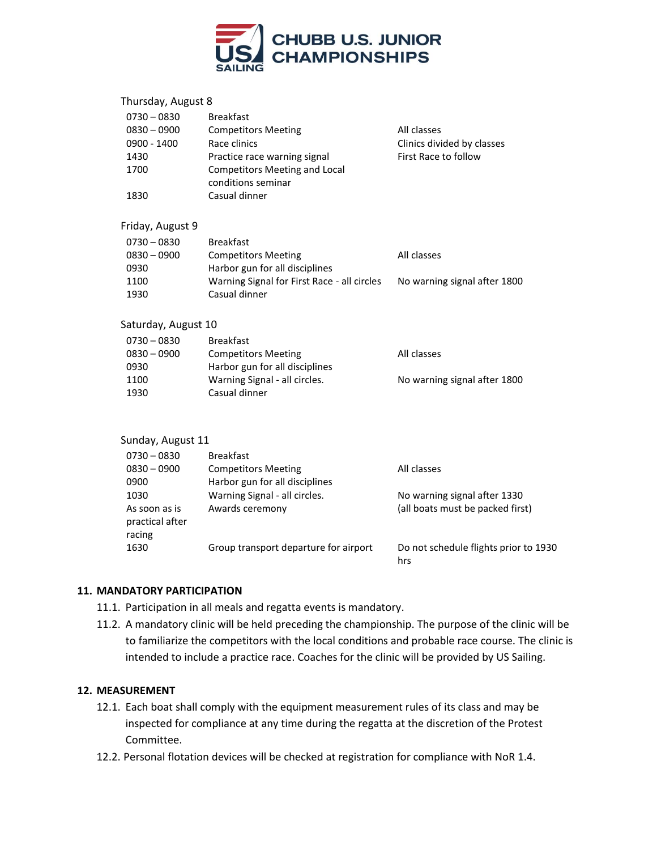

| Thursday, August 8             |                                                            |                                       |
|--------------------------------|------------------------------------------------------------|---------------------------------------|
| $0730 - 0830$<br>$0830 - 0900$ | <b>Breakfast</b><br><b>Competitors Meeting</b>             | All classes                           |
| $0900 - 1400$                  | Race clinics                                               | Clinics divided by classes            |
| 1430                           | Practice race warning signal                               | First Race to follow                  |
| 1700                           | <b>Competitors Meeting and Local</b><br>conditions seminar |                                       |
| 1830                           | Casual dinner                                              |                                       |
| Friday, August 9               |                                                            |                                       |
| $0730 - 0830$                  | <b>Breakfast</b>                                           |                                       |
| $0830 - 0900$                  | <b>Competitors Meeting</b>                                 | All classes                           |
| 0930                           | Harbor gun for all disciplines                             |                                       |
| 1100                           | Warning Signal for First Race - all circles                | No warning signal after 1800          |
| 1930                           | Casual dinner                                              |                                       |
| Saturday, August 10            |                                                            |                                       |
| $0730 - 0830$                  | <b>Breakfast</b>                                           |                                       |
| $0830 - 0900$                  | <b>Competitors Meeting</b>                                 | All classes                           |
| 0930                           | Harbor gun for all disciplines                             |                                       |
| 1100                           | Warning Signal - all circles.                              | No warning signal after 1800          |
| 1930                           | Casual dinner                                              |                                       |
| Sunday, August 11              |                                                            |                                       |
| $0730 - 0830$                  | <b>Breakfast</b>                                           |                                       |
| $0830 - 0900$                  | <b>Competitors Meeting</b>                                 | All classes                           |
| 0900                           | Harbor gun for all disciplines                             |                                       |
| 1030                           | Warning Signal - all circles.                              | No warning signal after 1330          |
| As soon as is                  | Awards ceremony                                            | (all boats must be packed first)      |
| practical after                |                                                            |                                       |
| racing                         |                                                            |                                       |
| 1630                           | Group transport departure for airport                      | Do not schedule flights prior to 1930 |

**11. MANDATORY PARTICIPATION**

- 11.1. Participation in all meals and regatta events is mandatory.
- 11.2. A mandatory clinic will be held preceding the championship. The purpose of the clinic will be to familiarize the competitors with the local conditions and probable race course. The clinic is intended to include a practice race. Coaches for the clinic will be provided by US Sailing.

hrs

## **12. MEASUREMENT**

- 12.1. Each boat shall comply with the equipment measurement rules of its class and may be inspected for compliance at any time during the regatta at the discretion of the Protest Committee.
- 12.2. Personal flotation devices will be checked at registration for compliance with NoR 1.4.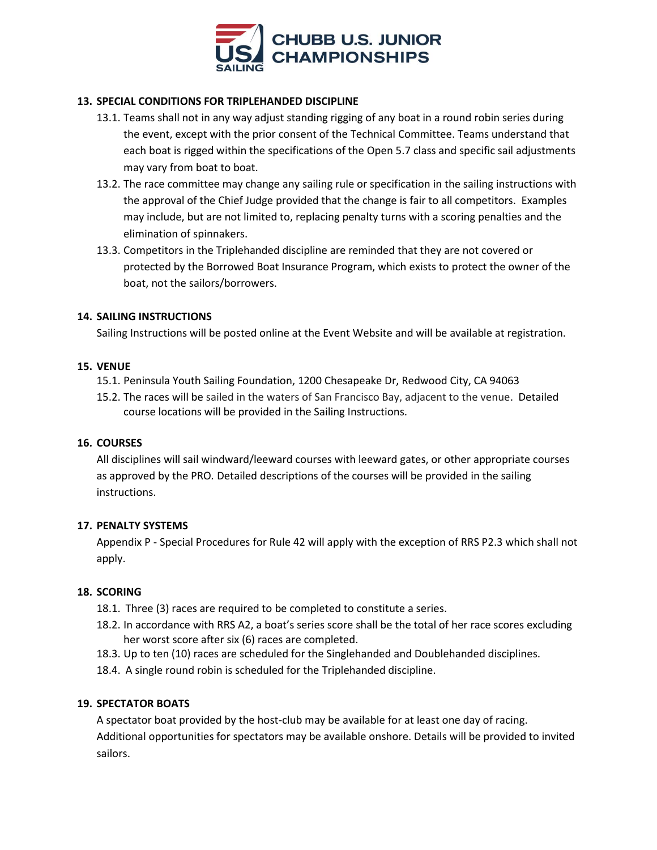

# **13. SPECIAL CONDITIONS FOR TRIPLEHANDED DISCIPLINE**

- 13.1. Teams shall not in any way adjust standing rigging of any boat in a round robin series during the event, except with the prior consent of the Technical Committee. Teams understand that each boat is rigged within the specifications of the Open 5.7 class and specific sail adjustments may vary from boat to boat.
- 13.2. The race committee may change any sailing rule or specification in the sailing instructions with the approval of the Chief Judge provided that the change is fair to all competitors. Examples may include, but are not limited to, replacing penalty turns with a scoring penalties and the elimination of spinnakers.
- 13.3. Competitors in the Triplehanded discipline are reminded that they are not covered or protected by the Borrowed Boat Insurance Program, which exists to protect the owner of the boat, not the sailors/borrowers.

## **14. SAILING INSTRUCTIONS**

Sailing Instructions will be posted online at the Event Website and will be available at registration.

## **15. VENUE**

- 15.1. Peninsula Youth Sailing Foundation, 1200 Chesapeake Dr, Redwood City, CA 94063
- 15.2. The races will be sailed in the waters of San Francisco Bay, adjacent to the venue. Detailed course locations will be provided in the Sailing Instructions.

## **16. COURSES**

All disciplines will sail windward/leeward courses with leeward gates, or other appropriate courses as approved by the PRO*.* Detailed descriptions of the courses will be provided in the sailing instructions.

## **17. PENALTY SYSTEMS**

Appendix P - Special Procedures for Rule 42 will apply with the exception of RRS P2.3 which shall not apply.

## **18. SCORING**

- 18.1. Three (3) races are required to be completed to constitute a series.
- 18.2. In accordance with RRS A2, a boat's series score shall be the total of her race scores excluding her worst score after six (6) races are completed.
- 18.3. Up to ten (10) races are scheduled for the Singlehanded and Doublehanded disciplines.
- 18.4. A single round robin is scheduled for the Triplehanded discipline.

## **19. SPECTATOR BOATS**

A spectator boat provided by the host-club may be available for at least one day of racing. Additional opportunities for spectators may be available onshore. Details will be provided to invited sailors.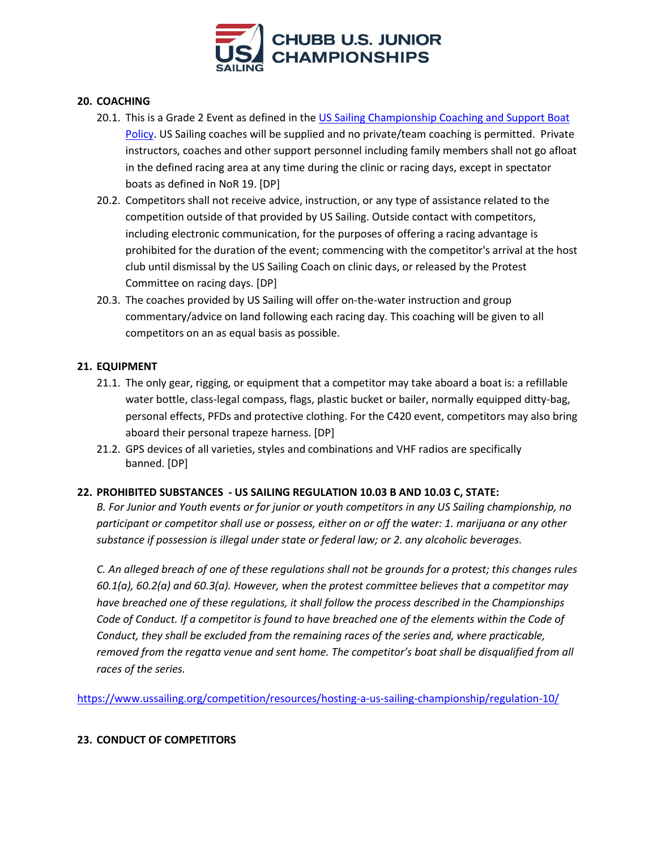

# **20. COACHING**

- 20.1. This is a Grade 2 Event as defined in the US Sailing Championship Coaching and Support Boat [Policy.](http://www.ussailing.org/racing/championships/coaching-and-support-boat-policy/) US Sailing coaches will be supplied and no private/team coaching is permitted. Private instructors, coaches and other support personnel including family members shall not go afloat in the defined racing area at any time during the clinic or racing days, except in spectator boats as defined in NoR 19. [DP]
- 20.2. Competitors shall not receive advice, instruction, or any type of assistance related to the competition outside of that provided by US Sailing. Outside contact with competitors, including electronic communication, for the purposes of offering a racing advantage is prohibited for the duration of the event; commencing with the competitor's arrival at the host club until dismissal by the US Sailing Coach on clinic days, or released by the Protest Committee on racing days. [DP]
- 20.3. The coaches provided by US Sailing will offer on-the-water instruction and group commentary/advice on land following each racing day. This coaching will be given to all competitors on an as equal basis as possible.

## **21. EQUIPMENT**

- 21.1. The only gear, rigging, or equipment that a competitor may take aboard a boat is: a refillable water bottle, class-legal compass, flags, plastic bucket or bailer, normally equipped ditty-bag, personal effects, PFDs and protective clothing. For the C420 event, competitors may also bring aboard their personal trapeze harness. [DP]
- 21.2. GPS devices of all varieties, styles and combinations and VHF radios are specifically banned. [DP]

## **22. PROHIBITED SUBSTANCES - US SAILING REGULATION 10.03 B AND 10.03 C, STATE:**

*B. For Junior and Youth events or for junior or youth competitors in any US Sailing championship, no participant or competitor shall use or possess, either on or off the water: 1. marijuana or any other substance if possession is illegal under state or federal law; or 2. any alcoholic beverages.* 

*C. An alleged breach of one of these regulations shall not be grounds for a protest; this changes rules 60.1(a), 60.2(a) and 60.3(a). However, when the protest committee believes that a competitor may have breached one of these regulations, it shall follow the process described in the Championships Code of Conduct. If a competitor is found to have breached one of the elements within the Code of Conduct, they shall be excluded from the remaining races of the series and, where practicable, removed from the regatta venue and sent home. The competitor's boat shall be disqualified from all races of the series.*

<https://www.ussailing.org/competition/resources/hosting-a-us-sailing-championship/regulation-10/>

## **23. CONDUCT OF COMPETITORS**